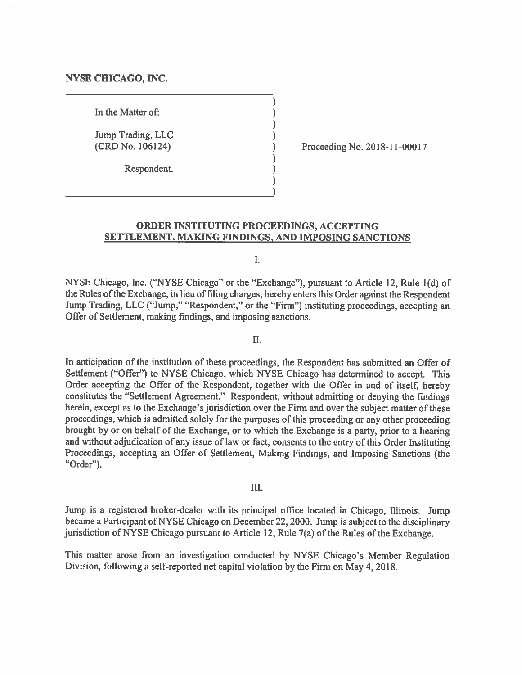#### **NYSE CHICAGO, INC.**

In the Matter of:

Jump Trading, LLC (CRD No. 106124) (CRD No. 106124) )

Respondent. )

Proceeding No. 2018-11-00017

#### **ORDER INSTITUTING PROCEEDINGS, ACCEPTING SETTLEMENT, MAKING FINDINGS, AND IMPOSING SANCTIONS**

 $\sum_{i=1}^{n}$ 

 $\sum_{i=1}^{n}$ 

)

I.

NYSE Chicago, Inc. ("NYSE Chicago" or the "Exchange"), pursuant to Article 12, Rule 1(d) of the Rules of the Exchange, in lieu of filing charges, hereby enters this Order against the Respondent Jump Trading, LLC ("Jump," "Respondent," or the "Firm") instituting proceedings, accepting an Offer of Settlement, making findings, and imposing sanctions.

IL

In anticipation of the institution of these proceedings, the Respondent has submitted an Offer of Settlement ("Offer") to NYSE Chicago, which NYSE Chicago has determined to accept. This Order accepting the Offer of the Respondent, together with the Offer in and of itself, hereby constitutes the "Settlement Agreement." Respondent, without admitting or denying the findings herein, except as to the Exchange's jurisdiction over the Firm and over the subject matter of these proceedings, which is admitted solely for the purposes of this proceeding or any other proceeding brought by or on behalf of the Exchange, or to which the Exchange is a party, prior to a hearing and without adjudication of any issue of law or fact, consents to the entry of this Order Instituting Proceedings, accepting an Offer of Settlement, Making Findings, and Imposing Sanctions (the "Order").

#### III.

Jump is a registered broker-dealer with its principal office located in Chicago, Illinois. Jump became a Participant of NYSE Chicago on December 22, 2000. Jump is subject to the disciplinary jurisdiction of NYSE Chicago pursuant to Article 12, Rule 7(a) of the Rules of the Exchange.

This matter arose from an investigation conducted by NYSE Chicago's Member Regulation Division, following a self-reported net capital violation by the Firm on May 4, 2018.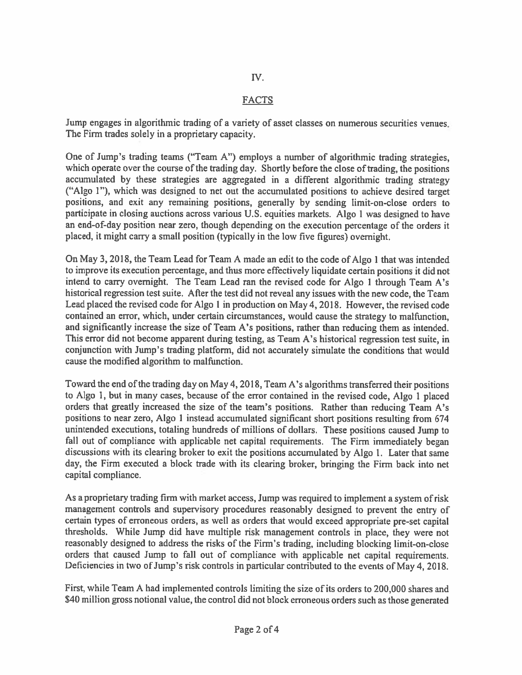## N.

### FACTS

Jump engages in algorithmic trading of a variety of asset classes on numerous securities venues. The Firm trades solely in a proprietary capacity.

One of Jump's trading teams ("Team A") employs a number of algorithmic trading strategies, which operate over the course of the trading day. Shortly before the close of trading, the positions accumulated by these strategies are aggregated in a different algorithmic trading strategy ("Algo 1"), which was designed to net out the accumulated positions to achieve desired target positions, and exit any remaining positions, generally by sending limit-on-close orders to participate in closing auctions across various U.S. equities markets. Algo 1 was designed to have an end-of-day position near zero, though depending on the execution percentage of the orders it placed, it might carry a small position (typically in the low five figures) overnight.

On May 3, 2018, the Team Lead for Team A made an edit to the code of Algo 1 that was intended to improve its execution percentage, and thus more effectively liquidate certain positions it did not intend to carry overnight. The Team Lead ran the revised code for Algo 1 through Team A's historical regression test suite. After the test did not reveal any issues with the new code, the Team Lead placed the revised code for Algo 1 in production on May 4, 2018. However, the revised code contained an error, which, under certain circumstances, would cause the strategy to malfunction, and significantly increase the size of Team A's positions, rather than reducing them as intended. This error did not become apparent during testing, as Team A's historical regression test suite, in conjunction with Jump's trading platform, did not accurately simulate the conditions that would cause the modified algorithm to malfunction.

Toward the end of the trading day on May 4, 2018, Team A's algorithms transferred their positions to Algo I, but in many cases, because of the error contained in the revised code, Algo 1 placed orders that greatly increased the size of the team's positions. Rather than reducing Team A's positions to near zero, Algo 1 instead accumulated significant short positions resulting from 674 unintended executions, totaling hundreds of millions of dollars. These positions caused Jump to fall out of compliance with applicable net capital requirements. The Firm immediately began discussions with its clearing broker to exit the positions accumulated by Algo 1. Later that same day, the Firm executed a block trade with its clearing broker, bringing the Firm back into net capital compliance.

As a proprietary trading firm with market access, Jump was required to implement a system of risk management controls and supervisory procedures reasonably designed to prevent the entry of certain types of erroneous orders, as well as orders that would exceed appropriate pre-set capital thresholds. While Jump did have multiple risk management controls in place, they were not reasonably designed to address the risks of the Firm's trading, including blocking limit-on-close orders that caused Jump to fall out of compliance with applicable net capital requirements. Deficiencies in two of Jump's risk controls in particular contributed to the events of May 4, 2018.

First, while Team A had implemented controls limiting the size of its orders to 200,000 shares and \$40 million gross notional value, the control did not block erroneous orders such as those generated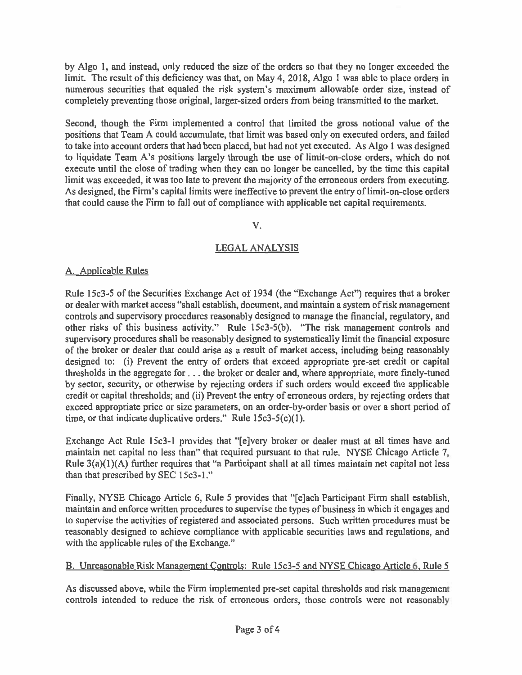**by Algo 1, and instead, only reduced the size of the orders so that they no longer exceeded the limit. The result of this deficiency was that, on May 4, 2018, Algo I was able to place orders in numerous securities that equaled the risk system's maximum allowable order size, instead of completely preventing those original, larger-sized orders from being transmitted to the market.** 

**Second, though the Firm implemented a control that limited the gross notional value of the positions that Team A could accumulate, that limit was based only on executed orders, and failed to take into account orders that had been placed, but had not yet executed. As Algo 1 was designed to liquidate Team A's positions largely through the use of limit-on-close orders, which do not execute until the close of trading when they can no longer be cancelled, by the time this capital limit was exceeded, it was too late to prevent the majority of the erroneous orders from executing. As designed, the Firm's capital limits were ineffective to prevent the entry of limit-on-close orders that could cause the Firm to fall out of compliance with applicable net capital requirements.** 

## **V.**

# **LEGAL ANALYSIS**

# **A. Applicable Rules**

**Rule 15c3-5 of the Securities Exchange Act of 1934 (the "Exchange Act") requires that a broker or dealer with market access "shall establish, document, and maintain a system of risk management controls and supervisory procedures reasonably designed to manage the financial, regulatory, and other risks of this business activity." Rule 15c3-5(b). "The risk management controls and supervisory procedures shall be reasonably designed to systematically limit the financial exposure of the broker or dealer that could arise as a result of market access, including being reasonably designed to: (i) Prevent the entry of orders that exceed appropriate pre-set credit or capital thresholds in the aggregate for . . . the broker or dealer and, where appropriate, more finely-tuned by sector, security, or otherwise by rejecting orders if such orders would exceed the applicable credit or capital thresholds; and (ii) Prevent the entry of erroneous orders, by rejecting orders that exceed appropriate price or size parameters, on an order-by-order basis or over a short period of time, or that indicate duplicative orders." Rule 15c3-5(c)(1).** 

**Exchange Act Rule 15c3-1 provides that "[e]very broker or dealer must at all times have and maintain net capital no less than" that required pursuant to that rule. NYSE Chicago Article 7, Rule 3(a)(I )(A) further requires that "a Participant shall at all times maintain net capital not less than that prescribed by SEC 15c3-1."** 

**Finally, NYSE Chicago Article 6, Rule 5 provides that "[e]ach Participant Firm shall establish, maintain and enforce written procedures to supervise the types of business in which it engages and to supervise the activities of registered and associated persons. Such written procedures must be reasonably designed to achieve compliance with applicable securities laws and regulations, and with the applicable rules of the Exchange."** 

# **B. Unreasonable Risk Management Controls: Rule 15c3-5 and NYSE Chicago Article 6, Rule 5**

**As discussed above, while the Firm implemented pre-set capital thresholds and risk management controls intended to reduce the risk of erroneous orders, those controls were not reasonably**